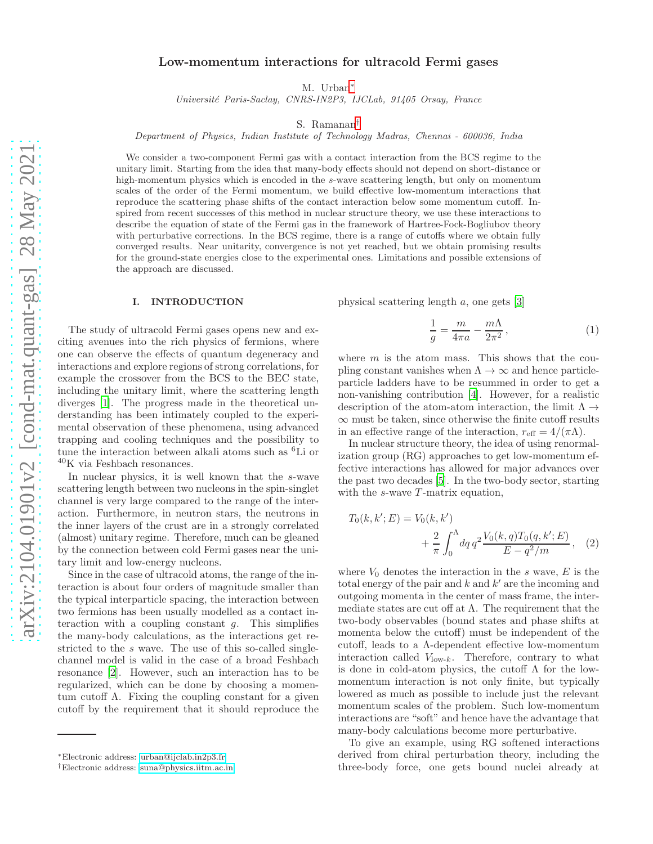# Low-momentum interactions for ultracold Fermi gases

M. Urban[∗](#page-0-0)

Université Paris-Saclay, CNRS-IN2P3, IJCLab, 91405 Orsay, France

S. Ramanan[†](#page-0-1)

Department of Physics, Indian Institute of Technology Madras, Chennai - 600036, India

We consider a two-component Fermi gas with a contact interaction from the BCS regime to the unitary limit. Starting from the idea that many-body effects should not depend on short-distance or high-momentum physics which is encoded in the s-wave scattering length, but only on momentum scales of the order of the Fermi momentum, we build effective low-momentum interactions that reproduce the scattering phase shifts of the contact interaction below some momentum cutoff. Inspired from recent successes of this method in nuclear structure theory, we use these interactions to describe the equation of state of the Fermi gas in the framework of Hartree-Fock-Bogliubov theory with perturbative corrections. In the BCS regime, there is a range of cutoffs where we obtain fully converged results. Near unitarity, convergence is not yet reached, but we obtain promising results for the ground-state energies close to the experimental ones. Limitations and possible extensions of the approach are discussed.

#### I. INTRODUCTION

The study of ultracold Fermi gases opens new and exciting avenues into the rich physics of fermions, where one can observe the effects of quantum degeneracy and interactions and explore regions of strong correlations, for example the crossover from the BCS to the BEC state, including the unitary limit, where the scattering length diverges [\[1](#page-10-0)]. The progress made in the theoretical understanding has been intimately coupled to the experimental observation of these phenomena, using advanced trapping and cooling techniques and the possibility to tune the interaction between alkali atoms such as <sup>6</sup>Li or  $^{40}\mathrm{K}$  via Feshbach resonances.

In nuclear physics, it is well known that the s-wave scattering length between two nucleons in the spin-singlet channel is very large compared to the range of the interaction. Furthermore, in neutron stars, the neutrons in the inner layers of the crust are in a strongly correlated (almost) unitary regime. Therefore, much can be gleaned by the connection between cold Fermi gases near the unitary limit and low-energy nucleons.

Since in the case of ultracold atoms, the range of the interaction is about four orders of magnitude smaller than the typical interparticle spacing, the interaction between two fermions has been usually modelled as a contact interaction with a coupling constant  $q$ . This simplifies the many-body calculations, as the interactions get restricted to the s wave. The use of this so-called singlechannel model is valid in the case of a broad Feshbach resonance [\[2](#page-10-1)]. However, such an interaction has to be regularized, which can be done by choosing a momentum cutoff  $\Lambda$ . Fixing the coupling constant for a given cutoff by the requirement that it should reproduce the

physical scattering length a, one gets [\[3\]](#page-10-2)

<span id="page-0-2"></span>
$$
\frac{1}{g} = \frac{m}{4\pi a} - \frac{m\Lambda}{2\pi^2},\qquad(1)
$$

where  $m$  is the atom mass. This shows that the coupling constant vanishes when  $\Lambda \to \infty$  and hence particleparticle ladders have to be resummed in order to get a non-vanishing contribution [\[4\]](#page-10-3). However, for a realistic description of the atom-atom interaction, the limit  $\Lambda \rightarrow$  $\infty$  must be taken, since otherwise the finite cutoff results in an effective range of the interaction,  $r_{\text{eff}} = 4/(\pi \Lambda)$ .

In nuclear structure theory, the idea of using renormalization group (RG) approaches to get low-momentum effective interactions has allowed for major advances over the past two decades [\[5](#page-10-4)]. In the two-body sector, starting with the  $s$ -wave  $T$ -matrix equation,

$$
T_0(k, k'; E) = V_0(k, k') + \frac{2}{\pi} \int_0^{\Lambda} dq \, q^2 \frac{V_0(k, q) T_0(q, k'; E)}{E - q^2/m}, \quad (2)
$$

where  $V_0$  denotes the interaction in the s wave, E is the total energy of the pair and  $k$  and  $k'$  are the incoming and outgoing momenta in the center of mass frame, the intermediate states are cut off at  $\Lambda$ . The requirement that the two-body observables (bound states and phase shifts at momenta below the cutoff) must be independent of the cutoff, leads to a Λ-dependent effective low-momentum interaction called  $V_{\text{low-}k}$ . Therefore, contrary to what is done in cold-atom physics, the cutoff  $\Lambda$  for the lowmomentum interaction is not only finite, but typically lowered as much as possible to include just the relevant momentum scales of the problem. Such low-momentum interactions are "soft" and hence have the advantage that many-body calculations become more perturbative.

To give an example, using RG softened interactions derived from chiral perturbation theory, including the three-body force, one gets bound nuclei already at

<span id="page-0-0"></span><sup>∗</sup>Electronic address: [urban@ijclab.in2p3.fr](mailto:urban@ijclab.in2p3.fr)

<span id="page-0-1"></span><sup>†</sup>Electronic address: [suna@physics.iitm.ac.in](mailto:suna@physics.iitm.ac.in)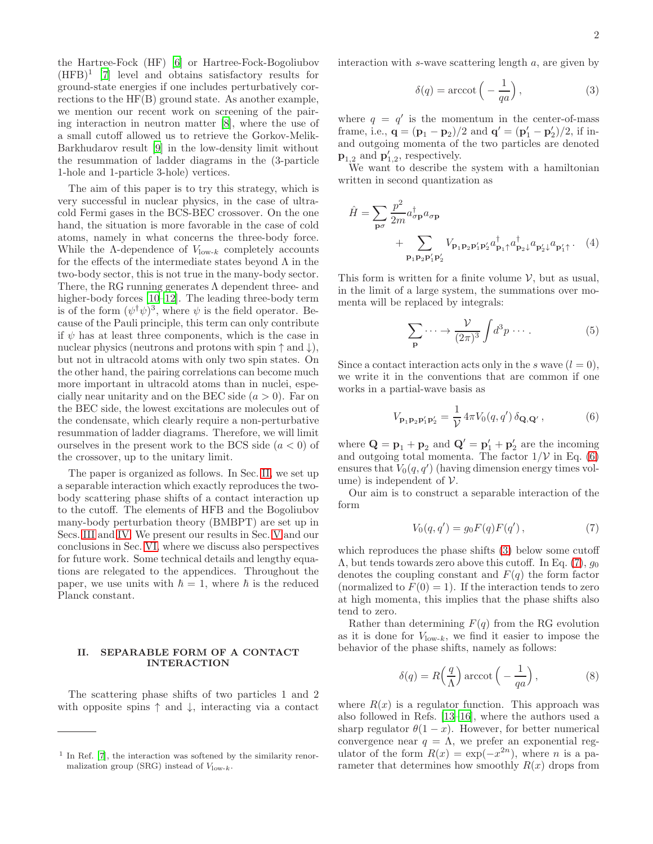<span id="page-1-2"></span>
$$
\delta(q) = \operatorname{arccot}\left(-\frac{1}{qa}\right),\tag{3}
$$

where  $q = q'$  is the momentum in the center-of-mass frame, i.e.,  ${\bf q} = ({\bf p}_1 - {\bf p}_2)/2$  and  ${\bf q}' = ({\bf p}'_1 - {\bf p}'_2)/2$ , if inand outgoing momenta of the two particles are denoted  $\mathbf{p}_{1,2}$  and  $\mathbf{p}'_{1,2}$ , respectively.

We want to describe the system with a hamiltonian written in second quantization as

$$
\hat{H} = \sum_{\mathbf{p}\sigma} \frac{p^2}{2m} a_{\sigma\mathbf{p}}^{\dagger} a_{\sigma\mathbf{p}} + \sum_{\mathbf{p}_1 \mathbf{p}_2 \mathbf{p}_1' \mathbf{p}_2'} V_{\mathbf{p}_1 \mathbf{p}_2 \mathbf{p}_1' \mathbf{p}_2'} a_{\mathbf{p}_1 \uparrow}^{\dagger} a_{\mathbf{p}_2 \downarrow}^{\dagger} a_{\mathbf{p}_2' \downarrow} a_{\mathbf{p}_1' \uparrow}. \tag{4}
$$

This form is written for a finite volume  $V$ , but as usual, in the limit of a large system, the summations over momenta will be replaced by integrals:

<span id="page-1-5"></span><span id="page-1-4"></span>
$$
\sum_{\mathbf{p}} \cdots \rightarrow \frac{\mathcal{V}}{(2\pi)^3} \int d^3p \cdots . \tag{5}
$$

Since a contact interaction acts only in the s wave  $(l = 0)$ , we write it in the conventions that are common if one works in a partial-wave basis as

<span id="page-1-1"></span>
$$
V_{\mathbf{p}_1 \mathbf{p}_2 \mathbf{p}_1' \mathbf{p}_2'} = \frac{1}{\mathcal{V}} 4\pi V_0(q, q') \, \delta_{\mathbf{Q}, \mathbf{Q'}},\tag{6}
$$

where  $\mathbf{Q} = \mathbf{p}_1 + \mathbf{p}_2$  and  $\mathbf{Q}' = \mathbf{p}'_1 + \mathbf{p}'_2$  are the incoming and outgoing total momenta. The factor  $1/\mathcal{V}$  in Eq. [\(6\)](#page-1-1) ensures that  $V_0(q, q')$  (having dimension energy times volume) is independent of  $V$ .

Our aim is to construct a separable interaction of the form

<span id="page-1-3"></span>
$$
V_0(q, q') = g_0 F(q) F(q'), \qquad (7)
$$

which reproduces the phase shifts [\(3\)](#page-1-2) below some cutoff  $\Lambda$ , but tends towards zero above this cutoff. In Eq. [\(7\)](#page-1-3),  $g_0$ denotes the coupling constant and  $F(q)$  the form factor (normalized to  $F(0) = 1$ ). If the interaction tends to zero at high momenta, this implies that the phase shifts also tend to zero.

Rather than determining  $F(q)$  from the RG evolution as it is done for  $V_{\text{low-}k}$ , we find it easier to impose the behavior of the phase shifts, namely as follows:

$$
\delta(q) = R\left(\frac{q}{\Lambda}\right) \operatorname{arccot}\left(-\frac{1}{qa}\right),\tag{8}
$$

where  $R(x)$  is a regulator function. This approach was also followed in Refs. [\[13](#page-10-11)[–16](#page-10-12)], where the authors used a sharp regulator  $\theta(1-x)$ . However, for better numerical convergence near  $q = \Lambda$ , we prefer an exponential regulator of the form  $R(x) = \exp(-x^{2n})$ , where *n* is a parameter that determines how smoothly  $R(x)$  drops from

the Hartree-Fock (HF) [\[6\]](#page-10-5) or Hartree-Fock-Bogoliubov  $(HFB)^1$  [\[7](#page-10-6)] level and obtains satisfactory results for ground-state energies if one includes perturbatively corrections to the HF(B) ground state. As another example, we mention our recent work on screening of the pairing interaction in neutron matter [\[8\]](#page-10-7), where the use of a small cutoff allowed us to retrieve the Gorkov-Melik-Barkhudarov result [\[9\]](#page-10-8) in the low-density limit without the resummation of ladder diagrams in the (3-particle 1-hole and 1-particle 3-hole) vertices.

The aim of this paper is to try this strategy, which is very successful in nuclear physics, in the case of ultracold Fermi gases in the BCS-BEC crossover. On the one hand, the situation is more favorable in the case of cold atoms, namely in what concerns the three-body force. While the  $\Lambda$ -dependence of  $V_{\text{low-}k}$  completely accounts for the effects of the intermediate states beyond  $\Lambda$  in the two-body sector, this is not true in the many-body sector. There, the RG running generates  $\Lambda$  dependent three- and higher-body forces [\[10](#page-10-9)[–12\]](#page-10-10). The leading three-body term is of the form  $(\psi^{\dagger} \psi)^3$ , where  $\psi$  is the field operator. Because of the Pauli principle, this term can only contribute if  $\psi$  has at least three components, which is the case in nuclear physics (neutrons and protons with spin  $\uparrow$  and  $\downarrow$ ), but not in ultracold atoms with only two spin states. On the other hand, the pairing correlations can become much more important in ultracold atoms than in nuclei, especially near unitarity and on the BEC side  $(a > 0)$ . Far on the BEC side, the lowest excitations are molecules out of the condensate, which clearly require a non-perturbative resummation of ladder diagrams. Therefore, we will limit ourselves in the present work to the BCS side  $(a < 0)$  of the crossover, up to the unitary limit.

The paper is organized as follows. In Sec. [II,](#page-1-0) we set up a separable interaction which exactly reproduces the twobody scattering phase shifts of a contact interaction up to the cutoff. The elements of HFB and the Bogoliubov many-body perturbation theory (BMBPT) are set up in Secs. [III](#page-2-0) and [IV.](#page-3-0) We present our results in Sec. [V](#page-6-0) and our conclusions in Sec. [VI,](#page-7-0) where we discuss also perspectives for future work. Some technical details and lengthy equations are relegated to the appendices. Throughout the paper, we use units with  $\hbar = 1$ , where  $\hbar$  is the reduced Planck constant.

### <span id="page-1-0"></span>II. SEPARABLE FORM OF A CONTACT INTERACTION

The scattering phase shifts of two particles 1 and 2 with opposite spins  $\uparrow$  and  $\downarrow$ , interacting via a contact

<sup>&</sup>lt;sup>1</sup> In Ref. [\[7\]](#page-10-6), the interaction was softened by the similarity renormalization group (SRG) instead of  $V_{\text{low-}k}$ .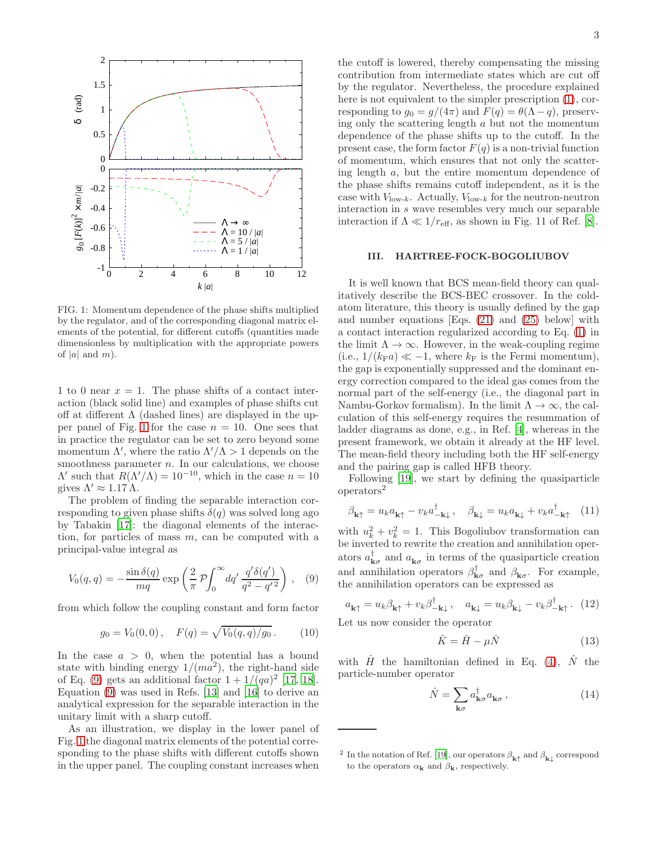

<span id="page-2-1"></span>FIG. 1: Momentum dependence of the phase shifts multiplied by the regulator, and of the corresponding diagonal matrix elements of the potential, for different cutoffs (quantities made dimensionless by multiplication with the appropriate powers of |a| and  $m$ ).

1 to 0 near  $x = 1$ . The phase shifts of a contact interaction (black solid line) and examples of phase shifts cut off at different  $\Lambda$  (dashed lines) are displayed in the up-per panel of Fig. [1](#page-2-1) for the case  $n = 10$ . One sees that in practice the regulator can be set to zero beyond some momentum  $\Lambda'$ , where the ratio  $\Lambda'/\Lambda > 1$  depends on the smoothness parameter  $n$ . In our calculations, we choose  $Λ'$  such that  $R(Λ'/Λ) = 10^{-10}$ , which in the case  $n = 10$ gives  $\Lambda' \approx 1.17 \Lambda$ .

The problem of finding the separable interaction corresponding to given phase shifts  $\delta(q)$  was solved long ago by Tabakin [\[17\]](#page-10-13): the diagonal elements of the interaction, for particles of mass  $m$ , can be computed with a principal-value integral as

<span id="page-2-2"></span>
$$
V_0(q,q) = -\frac{\sin \delta(q)}{mq} \exp\left(\frac{2}{\pi} \mathcal{P} \int_0^\infty dq' \frac{q' \delta(q')}{q^2 - q'^2}\right), \quad (9)
$$

from which follow the coupling constant and form factor

<span id="page-2-4"></span>
$$
g_0 = V_0(0,0), \quad F(q) = \sqrt{V_0(q,q)/g_0}.
$$
 (10)

In the case  $a > 0$ , when the potential has a bound state with binding energy  $1/(ma^2)$ , the right-hand side of Eq. [\(9\)](#page-2-2) gets an additional factor  $1 + 1/(qa)^2$  [\[17](#page-10-13), [18\]](#page-10-14). Equation [\(9\)](#page-2-2) was used in Refs. [\[13\]](#page-10-11) and [\[16](#page-10-12)] to derive an analytical expression for the separable interaction in the unitary limit with a sharp cutoff.

As an illustration, we display in the lower panel of Fig. [1](#page-2-1) the diagonal matrix elements of the potential corresponding to the phase shifts with different cutoffs shown in the upper panel. The coupling constant increases when

the cutoff is lowered, thereby compensating the missing contribution from intermediate states which are cut off by the regulator. Nevertheless, the procedure explained here is not equivalent to the simpler prescription [\(1\)](#page-0-2), corresponding to  $g_0 = g/(4\pi)$  and  $F(q) = \theta(\Lambda - q)$ , preserving only the scattering length  $a$  but not the momentum dependence of the phase shifts up to the cutoff. In the present case, the form factor  $F(q)$  is a non-trivial function of momentum, which ensures that not only the scattering length a, but the entire momentum dependence of the phase shifts remains cutoff independent, as it is the case with  $V_{\text{low-}k}$ . Actually,  $V_{\text{low-}k}$  for the neutron-neutron interaction in s wave resembles very much our separable interaction if  $\Lambda \ll 1/r_{\text{eff}}$ , as shown in Fig. 11 of Ref. [\[8\]](#page-10-7).

### <span id="page-2-0"></span>III. HARTREE-FOCK-BOGOLIUBOV

It is well known that BCS mean-field theory can qualitatively describe the BCS-BEC crossover. In the coldatom literature, this theory is usually defined by the gap and number equations [Eqs. [\(21\)](#page-3-1) and [\(25\)](#page-3-2) below] with a contact interaction regularized according to Eq. [\(1\)](#page-0-2) in the limit  $\Lambda \to \infty$ . However, in the weak-coupling regime (i.e.,  $1/(k_{\rm F}a) \ll -1$ , where  $k_{\rm F}$  is the Fermi momentum), the gap is exponentially suppressed and the dominant energy correction compared to the ideal gas comes from the normal part of the self-energy (i.e., the diagonal part in Nambu-Gorkov formalism). In the limit  $\Lambda \to \infty$ , the calculation of this self-energy requires the resummation of ladder diagrams as done, e.g., in Ref. [\[4](#page-10-3)], whereas in the present framework, we obtain it already at the HF level. The mean-field theory including both the HF self-energy and the pairing gap is called HFB theory.

Following [\[19](#page-10-15)], we start by defining the quasiparticle operators<sup>2</sup>

$$
\beta_{\mathbf{k}\uparrow} = u_k a_{\mathbf{k}\uparrow} - v_k a_{-\mathbf{k}\downarrow}^{\dagger}, \quad \beta_{\mathbf{k}\downarrow} = u_k a_{\mathbf{k}\downarrow} + v_k a_{-\mathbf{k}\uparrow}^{\dagger} \quad (11)
$$

with  $u_k^2 + v_k^2 = 1$ . This Bogoliubov transformation can be inverted to rewrite the creation and annihilation operators  $a_{\mathbf{k}\sigma}^{\dagger}$  and  $a_{\mathbf{k}\sigma}$  in terms of the quasiparticle creation and annihilation operators  $\beta_{\mathbf{k}\sigma}^{\dagger}$  and  $\beta_{\mathbf{k}\sigma}$ . For example, the annihilation operators can be expressed as

<span id="page-2-3"></span>
$$
a_{\mathbf{k}\uparrow} = u_k \beta_{\mathbf{k}\uparrow} + v_k \beta_{-\mathbf{k}\downarrow}^{\dagger}, \quad a_{\mathbf{k}\downarrow} = u_k \beta_{\mathbf{k}\downarrow} - v_k \beta_{-\mathbf{k}\uparrow}^{\dagger}.
$$
 (12)

Let us now consider the operator

$$
\hat{K} = \hat{H} - \mu \hat{N} \tag{13}
$$

with  $\hat{H}$  the hamiltonian defined in Eq. [\(4\)](#page-1-4),  $\hat{N}$  the particle-number operator

$$
\hat{N} = \sum_{\mathbf{k}\sigma} a_{\mathbf{k}\sigma}^{\dagger} a_{\mathbf{k}\sigma} , \qquad (14)
$$

<sup>&</sup>lt;sup>2</sup> In the notation of Ref. [\[19](#page-10-15)], our operators  $\beta_{\mathbf{k}\uparrow}$  and  $\beta_{\mathbf{k}\downarrow}$  correspond to the operators  $\alpha_k$  and  $\beta_k$ , respectively.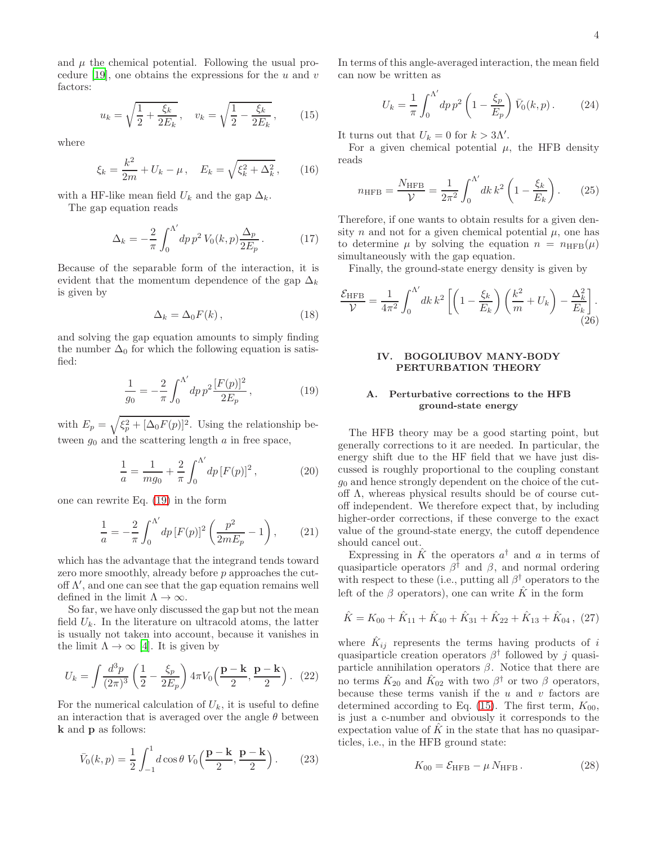and  $\mu$  the chemical potential. Following the usual pro-cedure [\[19\]](#page-10-15), one obtains the expressions for the  $u$  and  $v$ factors:

<span id="page-3-4"></span>
$$
u_k = \sqrt{\frac{1}{2} + \frac{\xi_k}{2E_k}}, \quad v_k = \sqrt{\frac{1}{2} - \frac{\xi_k}{2E_k}}, \quad (15)
$$

where

$$
\xi_k = \frac{k^2}{2m} + U_k - \mu \,, \quad E_k = \sqrt{\xi_k^2 + \Delta_k^2} \,, \tag{16}
$$

with a HF-like mean field  $U_k$  and the gap  $\Delta_k$ .

The gap equation reads

$$
\Delta_k = -\frac{2}{\pi} \int_0^{\Lambda'} dp \, p^2 \, V_0(k, p) \frac{\Delta_p}{2E_p} \,. \tag{17}
$$

Because of the separable form of the interaction, it is evident that the momentum dependence of the gap  $\Delta_k$ is given by

$$
\Delta_k = \Delta_0 F(k) \,, \tag{18}
$$

and solving the gap equation amounts to simply finding the number  $\Delta_0$  for which the following equation is satisfied:

<span id="page-3-3"></span>
$$
\frac{1}{g_0} = -\frac{2}{\pi} \int_0^{\Lambda'} dp \, p^2 \frac{[F(p)]^2}{2E_p} \,,\tag{19}
$$

with  $E_p = \sqrt{\xi_p^2 + [\Delta_0 F(p)]^2}$ . Using the relationship between  $g_0$  and the scattering length  $\alpha$  in free space,

$$
\frac{1}{a} = \frac{1}{mg_0} + \frac{2}{\pi} \int_0^{\Lambda'} dp \, [F(p)]^2 \,, \tag{20}
$$

one can rewrite Eq. [\(19\)](#page-3-3) in the form

<span id="page-3-1"></span>
$$
\frac{1}{a} = -\frac{2}{\pi} \int_0^{\Lambda'} dp \, [F(p)]^2 \left(\frac{p^2}{2mE_p} - 1\right),\tag{21}
$$

which has the advantage that the integrand tends toward zero more smoothly, already before p approaches the cutoff  $\Lambda'$ , and one can see that the gap equation remains well defined in the limit  $\Lambda \to \infty$ .

So far, we have only discussed the gap but not the mean field  $U_k$ . In the literature on ultracold atoms, the latter is usually not taken into account, because it vanishes in the limit  $\Lambda \to \infty$  [\[4](#page-10-3)]. It is given by

$$
U_k = \int \frac{d^3p}{(2\pi)^3} \left(\frac{1}{2} - \frac{\xi_p}{2E_p}\right) 4\pi V_0 \left(\frac{\mathbf{p} - \mathbf{k}}{2}, \frac{\mathbf{p} - \mathbf{k}}{2}\right). (22)
$$

For the numerical calculation of  $U_k$ , it is useful to define an interaction that is averaged over the angle  $\theta$  between k and p as follows:

$$
\bar{V}_0(k,p) = \frac{1}{2} \int_{-1}^{1} d\cos\theta \ V_0\left(\frac{\mathbf{p} - \mathbf{k}}{2}, \frac{\mathbf{p} - \mathbf{k}}{2}\right).
$$
 (23)

In terms of this angle-averaged interaction, the mean field can now be written as

$$
U_k = \frac{1}{\pi} \int_0^{\Lambda'} dp \, p^2 \left( 1 - \frac{\xi_p}{E_p} \right) \bar{V}_0(k, p) \,. \tag{24}
$$

It turns out that  $U_k = 0$  for  $k > 3\Lambda'$ .

For a given chemical potential  $\mu$ , the HFB density reads

<span id="page-3-2"></span>
$$
n_{\rm HFB} = \frac{N_{\rm HFB}}{\mathcal{V}} = \frac{1}{2\pi^2} \int_0^{\Lambda'} dk \, k^2 \left( 1 - \frac{\xi_k}{E_k} \right). \tag{25}
$$

Therefore, if one wants to obtain results for a given density n and not for a given chemical potential  $\mu$ , one has to determine  $\mu$  by solving the equation  $n = n_{\text{HFB}}(\mu)$ simultaneously with the gap equation.

Finally, the ground-state energy density is given by

$$
\frac{\mathcal{E}_{\text{HFB}}}{\mathcal{V}} = \frac{1}{4\pi^2} \int_0^{\Lambda'} dk \, k^2 \left[ \left( 1 - \frac{\xi_k}{E_k} \right) \left( \frac{k^2}{m} + U_k \right) - \frac{\Delta_k^2}{E_k} \right].
$$
\n(26)

## <span id="page-3-0"></span>IV. BOGOLIUBOV MANY-BODY PERTURBATION THEORY

## A. Perturbative corrections to the HFB ground-state energy

The HFB theory may be a good starting point, but generally corrections to it are needed. In particular, the energy shift due to the HF field that we have just discussed is roughly proportional to the coupling constant  $q_0$  and hence strongly dependent on the choice of the cutoff Λ, whereas physical results should be of course cutoff independent. We therefore expect that, by including higher-order corrections, if these converge to the exact value of the ground-state energy, the cutoff dependence should cancel out.

Expressing in  $\hat{K}$  the operators  $a^{\dagger}$  and a in terms of quasiparticle operators  $\beta^{\dagger}$  and  $\beta$ , and normal ordering with respect to these (i.e., putting all  $\beta^{\dagger}$  operators to the left of the  $\beta$  operators), one can write  $\hat{K}$  in the form

$$
\hat{K} = K_{00} + \hat{K}_{11} + \hat{K}_{40} + \hat{K}_{31} + \hat{K}_{22} + \hat{K}_{13} + \hat{K}_{04}, (27)
$$

where  $\hat{K}_{ij}$  represents the terms having products of i quasiparticle creation operators  $\beta^{\dagger}$  followed by j quasiparticle annihilation operators  $\beta$ . Notice that there are no terms  $\hat{K}_{20}$  and  $\hat{K}_{02}$  with two  $\beta^{\dagger}$  or two  $\beta$  operators, because these terms vanish if the  $u$  and  $v$  factors are determined according to Eq. [\(15\)](#page-3-4). The first term,  $K_{00}$ , is just a c-number and obviously it corresponds to the expectation value of  $\tilde{K}$  in the state that has no quasiparticles, i.e., in the HFB ground state:

$$
K_{00} = \mathcal{E}_{\text{HFB}} - \mu N_{\text{HFB}}.
$$
 (28)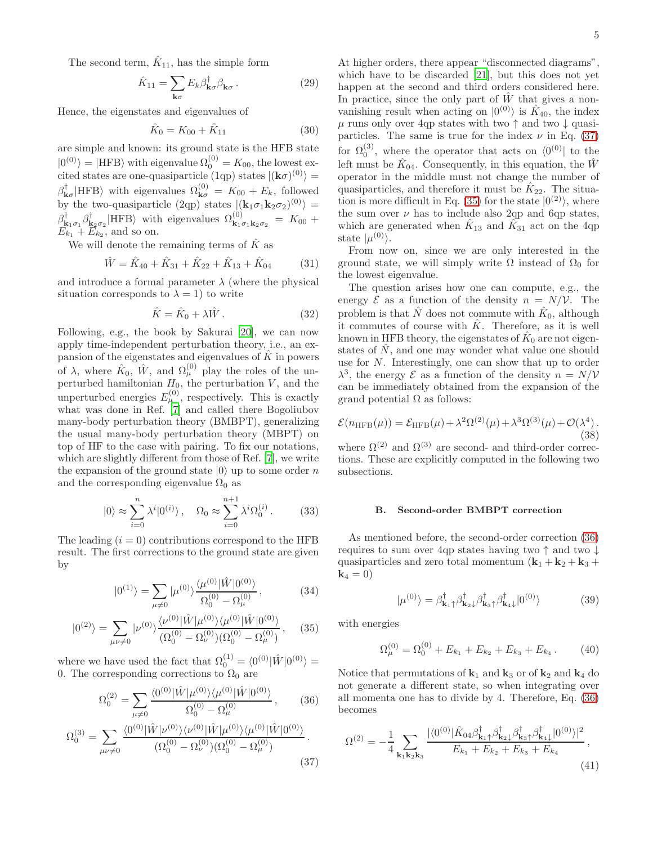The second term,  $\hat{K}_{11}$ , has the simple form

$$
\hat{K}_{11} = \sum_{\mathbf{k}\sigma} E_k \beta_{\mathbf{k}\sigma}^{\dagger} \beta_{\mathbf{k}\sigma}.
$$
 (29)

Hence, the eigenstates and eigenvalues of

$$
\hat{K}_0 = K_{00} + \hat{K}_{11} \tag{30}
$$

are simple and known: its ground state is the HFB state  $|0^{(0)}\rangle = |{\rm HFB}\rangle$  with eigenvalue  $\Omega_0^{(0)} = K_{00}$ , the lowest excited states are one-quasiparticle (1qp) states  $|(\mathbf{k}\sigma)^{(0)}\rangle =$  $\beta_{\mathbf{k}\sigma}^{\dagger}$ |HFB $\rangle$  with eigenvalues  $\Omega_{\mathbf{k}\sigma}^{(0)} = K_{00} + E_k$ , followed by the two-quasiparticle (2qp) states  $|(\mathbf{k}_1 \sigma_1 \mathbf{k}_2 \sigma_2)^{(0)}\rangle =$  $\beta^{\dagger}_{\mathbf{k}_1\sigma_1}\beta^{\dagger}_{\mathbf{k}_2\sigma_2}$  |HFB $\rangle$  with eigenvalues  $\Omega^{(0)}_{\mathbf{k}_1\sigma_1\mathbf{k}_2\sigma_2} = K_{00} +$  $E_{k_1} + \overline{E}_{k_2}$ , and so on.

We will denote the remaining terms of  $\hat{K}$  as

$$
\hat{W} = \hat{K}_{40} + \hat{K}_{31} + \hat{K}_{22} + \hat{K}_{13} + \hat{K}_{04}
$$
 (31)

and introduce a formal parameter  $\lambda$  (where the physical situation corresponds to  $\lambda = 1$ ) to write

$$
\hat{K} = \hat{K}_0 + \lambda \hat{W} . \tag{32}
$$

Following, e.g., the book by Sakurai [\[20\]](#page-10-16), we can now apply time-independent perturbation theory, i.e., an expansion of the eigenstates and eigenvalues of  $\tilde{K}$  in powers of  $\lambda$ , where  $\hat{K}_0$ ,  $\hat{W}$ , and  $\Omega_{\mu}^{(0)}$  play the roles of the unperturbed hamiltonian  $H_0$ , the perturbation  $V$ , and the unperturbed energies  $E_{\mu}^{(0)}$ , respectively. This is exactly what was done in Ref. [\[7](#page-10-6)] and called there Bogoliubov many-body perturbation theory (BMBPT), generalizing the usual many-body perturbation theory (MBPT) on top of HF to the case with pairing. To fix our notations, which are slightly different from those of Ref. [\[7](#page-10-6)], we write the expansion of the ground state  $|0\rangle$  up to some order n and the corresponding eigenvalue  $\Omega_0$  as

$$
|0\rangle \approx \sum_{i=0}^{n} \lambda^{i} |0^{(i)}\rangle, \quad \Omega_0 \approx \sum_{i=0}^{n+1} \lambda^{i} \Omega_0^{(i)}.
$$
 (33)

The leading  $(i = 0)$  contributions correspond to the HFB result. The first corrections to the ground state are given by

$$
|0^{(1)}\rangle = \sum_{\mu \neq 0} |\mu^{(0)}\rangle \frac{\langle \mu^{(0)}|\hat{W}|0^{(0)}\rangle}{\Omega_0^{(0)} - \Omega_\mu^{(0)}},
$$
(34)

$$
|0^{(2)}\rangle = \sum_{\mu\nu \neq 0} |\nu^{(0)}\rangle \frac{\langle \nu^{(0)}|\hat{W}|\mu^{(0)}\rangle\langle \mu^{(0)}|\hat{W}|0^{(0)}\rangle}{(\Omega_0^{(0)} - \Omega_\nu^{(0)})(\Omega_0^{(0)} - \Omega_\mu^{(0)})},\qquad(35)
$$

where we have used the fact that  $\Omega_0^{(1)} = \langle 0^{(0)} | \hat{W} | 0^{(0)} \rangle =$ 0. The corresponding corrections to  $\Omega_0$  are

$$
\Omega_0^{(2)} = \sum_{\mu \neq 0} \frac{\langle 0^{(0)} | \hat{W} | \mu^{(0)} \rangle \langle \mu^{(0)} | \hat{W} | 0^{(0)} \rangle}{\Omega_0^{(0)} - \Omega_\mu^{(0)}},\qquad(36)
$$

$$
\Omega_0^{(3)} = \sum_{\mu\nu \neq 0} \frac{\langle 0^{(0)} | \hat{W} | \nu^{(0)} \rangle \langle \nu^{(0)} | \hat{W} | \mu^{(0)} \rangle \langle \mu^{(0)} | \hat{W} | 0^{(0)} \rangle}{(\Omega_0^{(0)} - \Omega_\nu^{(0)}) (\Omega_0^{(0)} - \Omega_\mu^{(0)})} .
$$
\n(37)

At higher orders, there appear "disconnected diagrams", which have to be discarded [\[21\]](#page-10-17), but this does not yet happen at the second and third orders considered here. In practice, since the only part of  $\hat{W}$  that gives a nonvanishing result when acting on  $|0^{(0)}\rangle$  is  $\hat{K}_{40}$ , the index  $\mu$  runs only over 4qp states with two  $\uparrow$  and two  $\downarrow$  quasiparticles. The same is true for the index  $\nu$  in Eq. [\(37\)](#page-4-0) for  $\Omega_0^{(3)}$ , where the operator that acts on  $\langle 0^{(0)} |$  to the left must be  $\hat{K}_{04}$ . Consequently, in this equation, the  $\hat{W}$ operator in the middle must not change the number of quasiparticles, and therefore it must be  $\hat{K}_{22}$ . The situa-tion is more difficult in Eq. [\(35\)](#page-4-1) for the state  $|0^{(2)}\rangle$ , where the sum over  $\nu$  has to include also 2qp and 6qp states, which are generated when  $\hat{K}_{13}$  and  $\hat{K}_{31}$  act on the 4qp state  $|\mu^{(0)}\rangle$ .

From now on, since we are only interested in the ground state, we will simply write  $\Omega$  instead of  $\Omega_0$  for the lowest eigenvalue.

The question arises how one can compute, e.g., the energy  $\mathcal E$  as a function of the density  $n = N/\mathcal V$ . The problem is that  $\hat{N}$  does not commute with  $\hat{K}_0$ , although it commutes of course with  $\hat{K}$ . Therefore, as it is well known in HFB theory, the eigenstates of  $\hat{K}_0$  are not eigenstates of  $\hat{N}$ , and one may wonder what value one should use for N. Interestingly, one can show that up to order  $\lambda^3$ , the energy  $\mathcal E$  as a function of the density  $n = N/\mathcal V$ can be immediately obtained from the expansion of the grand potential  $\Omega$  as follows:

<span id="page-4-4"></span>
$$
\mathcal{E}(n_{\text{HFB}}(\mu)) = \mathcal{E}_{\text{HFB}}(\mu) + \lambda^2 \Omega^{(2)}(\mu) + \lambda^3 \Omega^{(3)}(\mu) + \mathcal{O}(\lambda^4).
$$
\n(38)

where  $\Omega^{(2)}$  and  $\Omega^{(3)}$  are second- and third-order corrections. These are explicitly computed in the following two subsections.

### B. Second-order BMBPT correction

As mentioned before, the second-order correction [\(36\)](#page-4-2) requires to sum over 4qp states having two ↑ and two ↓ quasiparticles and zero total momentum  $(\mathbf{k}_1 + \mathbf{k}_2 + \mathbf{k}_3 + \mathbf{k}_4)$  ${\bf k}_4 = 0$ 

$$
|\mu^{(0)}\rangle = \beta_{\mathbf{k}_1\uparrow}^{\dagger} \beta_{\mathbf{k}_2\downarrow}^{\dagger} \beta_{\mathbf{k}_3\uparrow}^{\dagger} \beta_{\mathbf{k}_4\downarrow}^{\dagger} |0^{(0)}\rangle \tag{39}
$$

<span id="page-4-1"></span>with energies

$$
\Omega_{\mu}^{(0)} = \Omega_0^{(0)} + E_{k_1} + E_{k_2} + E_{k_3} + E_{k_4}.
$$
 (40)

<span id="page-4-2"></span>Notice that permutations of  $\mathbf{k}_1$  and  $\mathbf{k}_3$  or of  $\mathbf{k}_2$  and  $\mathbf{k}_4$  do not generate a different state, so when integrating over all momenta one has to divide by 4. Therefore, Eq. [\(36\)](#page-4-2) becomes

<span id="page-4-3"></span><span id="page-4-0"></span>
$$
\Omega^{(2)} = -\frac{1}{4} \sum_{\mathbf{k}_1 \mathbf{k}_2 \mathbf{k}_3} \frac{|\langle 0^{(0)} | \hat{K}_{04} \beta^{\dagger}_{\mathbf{k}_1 \uparrow} \beta^{\dagger}_{\mathbf{k}_2 \downarrow} \beta^{\dagger}_{\mathbf{k}_3 \uparrow} \beta^{\dagger}_{\mathbf{k}_4 \downarrow} |0^{(0)}\rangle|^2}{E_{k_1} + E_{k_2} + E_{k_3} + E_{k_4}},
$$
\n(41)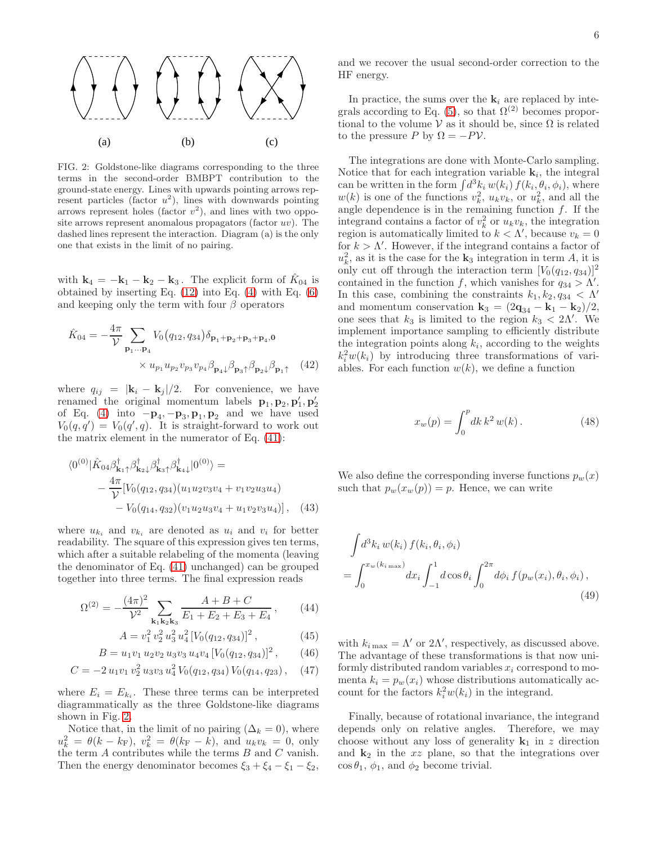

<span id="page-5-0"></span>FIG. 2: Goldstone-like diagrams corresponding to the three terms in the second-order BMBPT contribution to the ground-state energy. Lines with upwards pointing arrows represent particles (factor  $u^2$ ), lines with downwards pointing arrows represent holes (factor  $v^2$ ), and lines with two opposite arrows represent anomalous propagators (factor  $uv$ ). The dashed lines represent the interaction. Diagram (a) is the only one that exists in the limit of no pairing.

with  $\mathbf{k}_4 = -\mathbf{k}_1 - \mathbf{k}_2 - \mathbf{k}_3$ . The explicit form of  $\hat{K}_{04}$  is obtained by inserting Eq.  $(12)$  into Eq.  $(4)$  with Eq.  $(6)$ and keeping only the term with four  $\beta$  operators

$$
\hat{K}_{04} = -\frac{4\pi}{\mathcal{V}} \sum_{\mathbf{p}_1 \dots \mathbf{p}_4} V_0(q_{12}, q_{34}) \delta_{\mathbf{p}_1 + \mathbf{p}_2 + \mathbf{p}_3 + \mathbf{p}_4, \mathbf{0}} \times u_{p_1} u_{p_2} v_{p_3} v_{p_4} \beta_{\mathbf{p}_4} \beta_{\mathbf{p}_3} \gamma \beta_{\mathbf{p}_2} \beta_{\mathbf{p}_1} \tag{42}
$$

where  $q_{ij} = |\mathbf{k}_i - \mathbf{k}_j|/2$ . For convenience, we have renamed the original momentum labels  $\mathbf{p}_1, \mathbf{p}_2, \mathbf{p}'_1, \mathbf{p}'_2$ of Eq. [\(4\)](#page-1-4) into  $-\mathbf{p}_4, -\mathbf{p}_3, \mathbf{p}_1, \mathbf{p}_2$  and we have used  $V_0(q,q') = V_0(q',q)$ . It is straight-forward to work out the matrix element in the numerator of Eq. [\(41\)](#page-4-3):

$$
\langle 0^{(0)} | \hat{K}_{04} \beta_{\mathbf{k}_1 \uparrow}^{\dagger} \beta_{\mathbf{k}_2 \downarrow}^{\dagger} \beta_{\mathbf{k}_3 \uparrow}^{\dagger} \beta_{\mathbf{k}_4 \downarrow}^{\dagger} | 0^{(0)} \rangle =
$$
  
 
$$
- \frac{4\pi}{\mathcal{V}} [ V_0(q_{12}, q_{34}) (u_1 u_2 v_3 v_4 + v_1 v_2 u_3 u_4 )
$$
  
 
$$
- V_0(q_{14}, q_{32}) (v_1 u_2 u_3 v_4 + u_1 v_2 v_3 u_4 ) ], \quad (43)
$$

where  $u_{k_i}$  and  $v_{k_i}$  are denoted as  $u_i$  and  $v_i$  for better readability. The square of this expression gives ten terms, which after a suitable relabeling of the momenta (leaving the denominator of Eq. [\(41\)](#page-4-3) unchanged) can be grouped together into three terms. The final expression reads

$$
\Omega^{(2)} = -\frac{(4\pi)^2}{\mathcal{V}^2} \sum_{\mathbf{k}_1 \mathbf{k}_2 \mathbf{k}_3} \frac{A + B + C}{E_1 + E_2 + E_3 + E_4},\qquad(44)
$$

$$
A = v_1^2 v_2^2 u_3^2 u_4^2 [V_0(q_{12}, q_{34})]^2 , \qquad (45)
$$

$$
B = u_1 v_1 u_2 v_2 u_3 v_3 u_4 v_4 [V_0(q_{12}, q_{34})]^2, \qquad (46)
$$

$$
C = -2 u_1 v_1 v_2^2 u_3 v_3 u_4^2 V_0(q_{12}, q_{34}) V_0(q_{14}, q_{23}), \quad (47)
$$

where  $E_i = E_{ki}$ . These three terms can be interpreted diagrammatically as the three Goldstone-like diagrams shown in Fig. [2.](#page-5-0)

Notice that, in the limit of no pairing  $(\Delta_k = 0)$ , where  $u_k^2 = \theta(k - k_F), v_k^2 = \theta(k_F - k), \text{ and } u_k v_k = 0, \text{ only}$ the term  $A$  contributes while the terms  $B$  and  $C$  vanish. Then the energy denominator becomes  $\xi_3 + \xi_4 - \xi_1 - \xi_2$ , and we recover the usual second-order correction to the HF energy.

In practice, the sums over the  $\mathbf{k}_i$  are replaced by inte-grals according to Eq. [\(5\)](#page-1-5), so that  $\Omega^{(2)}$  becomes proportional to the volume  $V$  as it should be, since  $\Omega$  is related to the pressure P by  $\Omega = -PV$ .

The integrations are done with Monte-Carlo sampling. Notice that for each integration variable  $\mathbf{k}_i$ , the integral can be written in the form  $\int d^3k_i w(k_i) f(k_i, \theta_i, \phi_i)$ , where  $w(k)$  is one of the functions  $v_k^2$ ,  $u_kv_k$ , or  $u_k^2$ , and all the angle dependence is in the remaining function  $f$ . If the integrand contains a factor of  $v_k^2$  or  $u_kv_k$ , the integration region is automatically limited to  $k < \Lambda'$ , because  $v_k = 0$ for  $k > \Lambda'$ . However, if the integrand contains a factor of  $u_k^2$ , as it is the case for the  $\mathbf{k}_3$  integration in term A, it is only cut off through the interaction term  $[V_0(q_{12}, q_{34})]^2$ contained in the function f, which vanishes for  $q_{34} > \Lambda'$ . In this case, combining the constraints  $k_1, k_2, q_{34} < \Lambda'$ and momentum conservation  $\mathbf{k}_3 = (2\mathbf{q}_{34} - \mathbf{k}_1 - \mathbf{k}_2)/2$ , one sees that  $k_3$  is limited to the region  $k_3 < 2\Lambda'$ . We implement importance sampling to efficiently distribute the integration points along  $k_i$ , according to the weights  $k_i^2 w(k_i)$  by introducing three transformations of variables. For each function  $w(k)$ , we define a function

$$
x_w(p) = \int_0^p dk \, k^2 \, w(k) \,. \tag{48}
$$

We also define the corresponding inverse functions  $p_w(x)$ such that  $p_w(x_w(p)) = p$ . Hence, we can write

<span id="page-5-1"></span>
$$
\int d^3k_i w(k_i) f(k_i, \theta_i, \phi_i) \n= \int_0^{x_w(k_i_{\text{max}})} dx_i \int_{-1}^1 d \cos \theta_i \int_0^{2\pi} d\phi_i f(p_w(x_i), \theta_i, \phi_i),
$$
\n(49)

with  $k_{i \max} = \Lambda'$  or  $2\Lambda'$ , respectively, as discussed above. The advantage of these transformations is that now uniformly distributed random variables  $x_i$  correspond to momenta  $k_i = p_w(x_i)$  whose distributions automatically account for the factors  $k_i^2 w(k_i)$  in the integrand.

Finally, because of rotational invariance, the integrand depends only on relative angles. Therefore, we may choose without any loss of generality  $k_1$  in z direction and  $k_2$  in the x plane, so that the integrations over  $\cos \theta_1$ ,  $\phi_1$ , and  $\phi_2$  become trivial.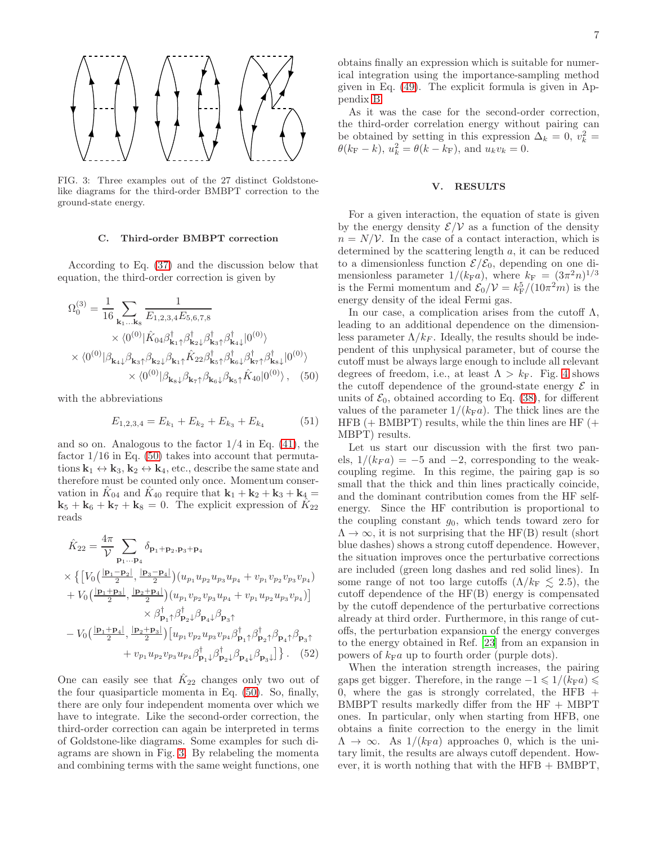

<span id="page-6-2"></span>FIG. 3: Three examples out of the 27 distinct Goldstonelike diagrams for the third-order BMBPT correction to the ground-state energy.

#### <span id="page-6-3"></span>C. Third-order BMBPT correction

According to Eq. [\(37\)](#page-4-0) and the discussion below that equation, the third-order correction is given by

$$
\Omega_0^{(3)} = \frac{1}{16} \sum_{\mathbf{k}_1...\mathbf{k}_8} \frac{1}{E_{1,2,3,4} E_{5,6,7,8}} \times \langle 0^{(0)} | \hat{K}_{04} \beta_{\mathbf{k}_1 \uparrow}^{\dagger} \beta_{\mathbf{k}_2 \downarrow}^{\dagger} \beta_{\mathbf{k}_3 \uparrow}^{\dagger} \beta_{\mathbf{k}_4 \downarrow}^{\dagger} | 0^{(0)} \rangle \times \langle 0^{(0)} | \beta_{\mathbf{k}_4 \downarrow} \beta_{\mathbf{k}_3 \uparrow} \beta_{\mathbf{k}_2 \downarrow} \beta_{\mathbf{k}_1 \uparrow} \hat{K}_{22} \beta_{\mathbf{k}_5 \uparrow}^{\dagger} \beta_{\mathbf{k}_6 \downarrow}^{\dagger} \beta_{\mathbf{k}_7 \uparrow}^{\dagger} \beta_{\mathbf{k}_8 \downarrow}^{\dagger} | 0^{(0)} \rangle \times \langle 0^{(0)} | \beta_{\mathbf{k}_8 \downarrow} \beta_{\mathbf{k}_7 \uparrow} \beta_{\mathbf{k}_6 \downarrow} \beta_{\mathbf{k}_5 \uparrow} \hat{K}_{40} | 0^{(0)} \rangle, \quad (50)
$$

with the abbreviations

$$
E_{1,2,3,4} = E_{k_1} + E_{k_2} + E_{k_3} + E_{k_4}
$$
 (51)

and so on. Analogous to the factor  $1/4$  in Eq. [\(41\)](#page-4-3), the factor  $1/16$  in Eq. [\(50\)](#page-6-1) takes into account that permutations  $\mathbf{k}_1 \leftrightarrow \mathbf{k}_3, \mathbf{k}_2 \leftrightarrow \mathbf{k}_4$ , etc., describe the same state and therefore must be counted only once. Momentum conservation in  $\hat{K}_{04}$  and  $\hat{K}_{40}$  require that  $\mathbf{k}_1 + \mathbf{k}_2 + \mathbf{k}_3 + \mathbf{k}_4 =$  $\mathbf{k}_5 + \mathbf{k}_6 + \mathbf{k}_7 + \mathbf{k}_8 = 0$ . The explicit expression of  $\tilde{K}_{22}$ reads

$$
\hat{K}_{22} = \frac{4\pi}{\mathcal{V}} \sum_{\mathbf{p}_1 \dots \mathbf{p}_4} \delta_{\mathbf{p}_1 + \mathbf{p}_2, \mathbf{p}_3 + \mathbf{p}_4} \times \left\{ \left[ V_0 \left( \frac{|\mathbf{p}_1 - \mathbf{p}_2|}{2}, \frac{|\mathbf{p}_3 - \mathbf{p}_4|}{2} \right) (u_{p_1} u_{p_2} u_{p_3} u_{p_4} + v_{p_1} v_{p_2} v_{p_3} v_{p_4}) \right. \right. \left. + V_0 \left( \frac{|\mathbf{p}_1 + \mathbf{p}_3|}{2}, \frac{|\mathbf{p}_2 + \mathbf{p}_4|}{2} \right) (u_{p_1} v_{p_2} v_{p_3} u_{p_4} + v_{p_1} u_{p_2} u_{p_3} v_{p_4}) \right] \times \beta_{\mathbf{p}_1 \uparrow}^{\dagger} \beta_{\mathbf{p}_2 \downarrow}^{\dagger} \beta_{\mathbf{p}_4 \downarrow} \beta_{\mathbf{p}_3 \uparrow} - V_0 \left( \frac{|\mathbf{p}_1 + \mathbf{p}_4|}{2}, \frac{|\mathbf{p}_2 + \mathbf{p}_3|}{2} \right) \left[ u_{p_1} v_{p_2} u_{p_3} v_{p_4} \beta_{\mathbf{p}_1 \uparrow}^{\dagger} \beta_{\mathbf{p}_2 \uparrow}^{\dagger} \beta_{\mathbf{p}_4 \uparrow} \beta_{\mathbf{p}_3 \uparrow}^{\dagger} \right] \right\}.
$$
 (52)

One can easily see that  $\hat{K}_{22}$  changes only two out of the four quasiparticle momenta in Eq. [\(50\)](#page-6-1). So, finally, there are only four independent momenta over which we have to integrate. Like the second-order correction, the third-order correction can again be interpreted in terms of Goldstone-like diagrams. Some examples for such diagrams are shown in Fig. [3.](#page-6-2) By relabeling the momenta and combining terms with the same weight functions, one

obtains finally an expression which is suitable for numerical integration using the importance-sampling method given in Eq. [\(49\)](#page-5-1). The explicit formula is given in Appendix [B.](#page-9-0)

As it was the case for the second-order correction, the third-order correlation energy without pairing can be obtained by setting in this expression  $\Delta_k = 0$ ,  $v_k^2 =$  $\theta(k_{\rm F} - k)$ ,  $u_k^2 = \theta(k - k_{\rm F})$ , and  $u_k v_k = 0$ .

### <span id="page-6-0"></span>V. RESULTS

For a given interaction, the equation of state is given by the energy density  $\mathcal{E}/\mathcal{V}$  as a function of the density  $n = N/V$ . In the case of a contact interaction, which is determined by the scattering length a, it can be reduced to a dimensionless function  $\mathcal{E}/\mathcal{E}_0$ , depending on one dimensionless parameter  $1/(k_{\rm F}a)$ , where  $k_{\rm F} = (3\pi^2 n)^{1/3}$ is the Fermi momentum and  $\mathcal{E}_0/\mathcal{V} = k_F^5/(10\pi^2 m)$  is the energy density of the ideal Fermi gas.

<span id="page-6-1"></span>In our case, a complication arises from the cutoff  $\Lambda$ , leading to an additional dependence on the dimensionless parameter  $\Lambda/k_F$ . Ideally, the results should be independent of this unphysical parameter, but of course the cutoff must be always large enough to include all relevant degrees of freedom, i.e., at least  $\Lambda > k_{\rm F}$ . Fig. [4](#page-7-1) shows the cutoff dependence of the ground-state energy  $\mathcal E$  in units of  $\mathcal{E}_0$ , obtained according to Eq. [\(38\)](#page-4-4), for different values of the parameter  $1/(k_{\rm F}a)$ . The thick lines are the HFB  $(+)$  BMBPT) results, while the thin lines are HF  $(+)$ MBPT) results.

Let us start our discussion with the first two panels,  $1/(k_F a) = -5$  and  $-2$ , corresponding to the weakcoupling regime. In this regime, the pairing gap is so small that the thick and thin lines practically coincide, and the dominant contribution comes from the HF selfenergy. Since the HF contribution is proportional to the coupling constant  $g_0$ , which tends toward zero for  $\Lambda \to \infty$ , it is not surprising that the HF(B) result (short blue dashes) shows a strong cutoff dependence. However, the situation improves once the perturbative corrections are included (green long dashes and red solid lines). In some range of not too large cutoffs  $(\Lambda/k_F \leq 2.5)$ , the cutoff dependence of the HF(B) energy is compensated by the cutoff dependence of the perturbative corrections already at third order. Furthermore, in this range of cutoffs, the perturbation expansion of the energy converges to the energy obtained in Ref. [\[23](#page-10-18)] from an expansion in powers of  $k_{\mathrm{F}}a$  up to fourth order (purple dots).

When the interation strength increases, the pairing gaps get bigger. Therefore, in the range  $-1 \leq 1/(k_{\rm F}a) \leq$ 0, where the gas is strongly correlated, the HFB  $+$ BMBPT results markedly differ from the  $HF + MBPT$ ones. In particular, only when starting from HFB, one obtains a finite correction to the energy in the limit  $\Lambda \to \infty$ . As  $1/(k_{\rm F}a)$  approaches 0, which is the unitary limit, the results are always cutoff dependent. However, it is worth nothing that with the  $HFB + BMBPT$ ,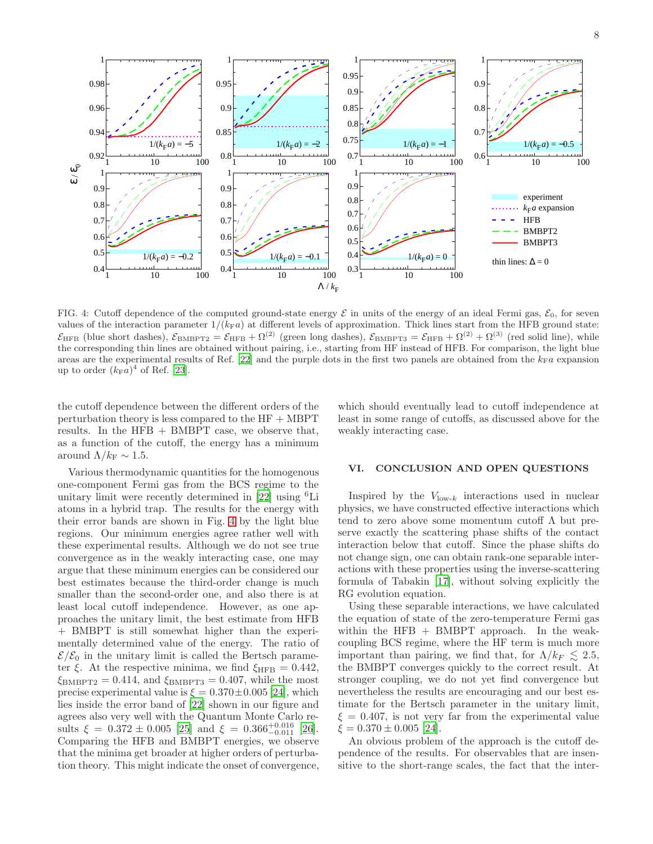

<span id="page-7-1"></span>FIG. 4: Cutoff dependence of the computed ground-state energy  $\mathcal E$  in units of the energy of an ideal Fermi gas,  $\mathcal E_0$ , for seven values of the interaction parameter  $1/(k_{\text{F}}a)$  at different levels of approximation. Thick lines start from the HFB ground state:  $\mathcal{E}_{\text{HFB}}$  (blue short dashes),  $\mathcal{E}_{\text{BMBPT2}} = \mathcal{E}_{\text{HFB}} + \Omega^{(2)}$  (green long dashes),  $\mathcal{E}_{\text{BMBPT3}} = \mathcal{E}_{\text{HFB}} + \Omega^{(2)} + \Omega^{(3)}$  (red solid line), while the corresponding thin lines are obtained without pairing, i.e., starting from HF instead of HFB. For comparison, the light blue areas are the experimental results of Ref. [\[22](#page-10-19)] and the purple dots in the first two panels are obtained from the  $k_F a$  expansion up to order  $(k_{\rm F}a)^4$  of Ref. [\[23](#page-10-18)].

the cutoff dependence between the different orders of the perturbation theory is less compared to the  $HF + MBPT$ results. In the  $HFB + BMBPT$  case, we observe that, as a function of the cutoff, the energy has a minimum around  $\Lambda/k_F \sim 1.5$ .

which should eventually lead to cutoff independence at least in some range of cutoffs, as discussed above for the weakly interacting case.

Various thermodynamic quantities for the homogenous one-component Fermi gas from the BCS regime to the unitary limit were recently determined in [\[22\]](#page-10-19) using <sup>6</sup>Li atoms in a hybrid trap. The results for the energy with their error bands are shown in Fig. [4](#page-7-1) by the light blue regions. Our minimum energies agree rather well with these experimental results. Although we do not see true convergence as in the weakly interacting case, one may argue that these minimum energies can be considered our best estimates because the third-order change is much smaller than the second-order one, and also there is at least local cutoff independence. However, as one approaches the unitary limit, the best estimate from HFB + BMBPT is still somewhat higher than the experimentally determined value of the energy. The ratio of  $\mathcal{E}/\mathcal{E}_0$  in the unitary limit is called the Bertsch parameter  $\xi$ . At the respective minima, we find  $\xi_{\text{HFB}} = 0.442$ ,  $\xi_{\text{BMBPT2}} = 0.414$ , and  $\xi_{\text{BMBPT3}} = 0.407$ , while the most precise experimental value is  $\xi = 0.370 \pm 0.005$  [\[24\]](#page-10-20), which lies inside the error band of [\[22\]](#page-10-19) shown in our figure and agrees also very well with the Quantum Monte Carlo results  $\xi = 0.372 \pm 0.005$  [\[25\]](#page-10-21) and  $\xi = 0.366^{+0.016}_{-0.011}$  [\[26\]](#page-10-22). Comparing the HFB and BMBPT energies, we observe that the minima get broader at higher orders of perturbation theory. This might indicate the onset of convergence,

## <span id="page-7-0"></span>VI. CONCLUSION AND OPEN QUESTIONS

Inspired by the  $V_{\text{low-}k}$  interactions used in nuclear physics, we have constructed effective interactions which tend to zero above some momentum cutoff  $\Lambda$  but preserve exactly the scattering phase shifts of the contact interaction below that cutoff. Since the phase shifts do not change sign, one can obtain rank-one separable interactions with these properties using the inverse-scattering formula of Tabakin [\[17](#page-10-13)], without solving explicitly the RG evolution equation.

Using these separable interactions, we have calculated the equation of state of the zero-temperature Fermi gas within the HFB + BMBPT approach. In the weakcoupling BCS regime, where the HF term is much more important than pairing, we find that, for  $\Lambda/k_F \lesssim 2.5$ , the BMBPT converges quickly to the correct result. At stronger coupling, we do not yet find convergence but nevertheless the results are encouraging and our best estimate for the Bertsch parameter in the unitary limit,  $\xi = 0.407$ , is not very far from the experimental value  $\xi = 0.370 \pm 0.005$  [\[24\]](#page-10-20).

An obvious problem of the approach is the cutoff dependence of the results. For observables that are insensitive to the short-range scales, the fact that the inter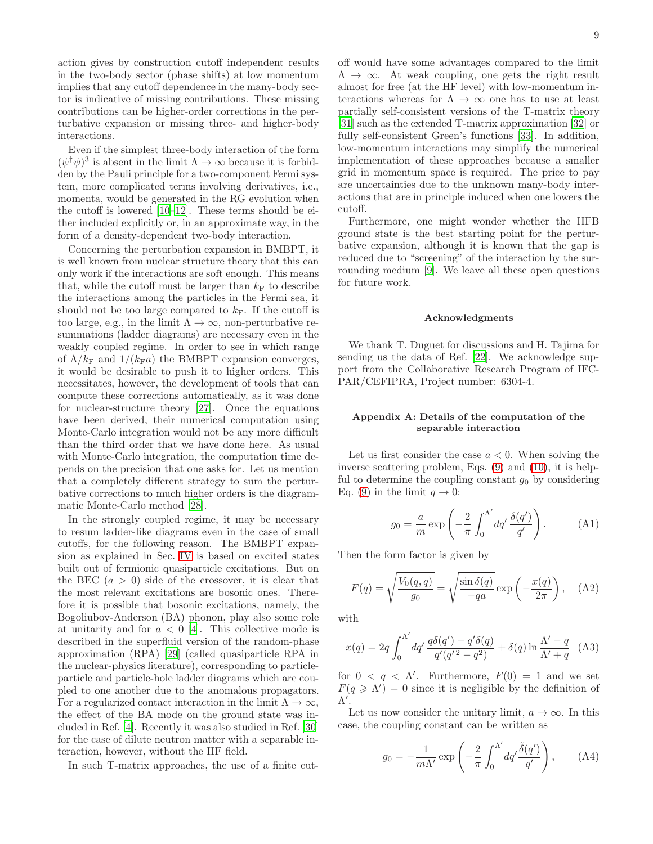action gives by construction cutoff independent results in the two-body sector (phase shifts) at low momentum implies that any cutoff dependence in the many-body sector is indicative of missing contributions. These missing contributions can be higher-order corrections in the perturbative expansion or missing three- and higher-body interactions.

Even if the simplest three-body interaction of the form  $(\psi^{\dagger} \psi)^3$  is absent in the limit  $\Lambda \to \infty$  because it is forbidden by the Pauli principle for a two-component Fermi system, more complicated terms involving derivatives, i.e., momenta, would be generated in the RG evolution when the cutoff is lowered [\[10](#page-10-9)[–12](#page-10-10)]. These terms should be either included explicitly or, in an approximate way, in the form of a density-dependent two-body interaction.

Concerning the perturbation expansion in BMBPT, it is well known from nuclear structure theory that this can only work if the interactions are soft enough. This means that, while the cutoff must be larger than  $k_F$  to describe the interactions among the particles in the Fermi sea, it should not be too large compared to  $k_F$ . If the cutoff is too large, e.g., in the limit  $\Lambda \to \infty$ , non-perturbative resummations (ladder diagrams) are necessary even in the weakly coupled regime. In order to see in which range of  $\Lambda/k_F$  and  $1/(k_F a)$  the BMBPT expansion converges, it would be desirable to push it to higher orders. This necessitates, however, the development of tools that can compute these corrections automatically, as it was done for nuclear-structure theory [\[27](#page-10-23)]. Once the equations have been derived, their numerical computation using Monte-Carlo integration would not be any more difficult than the third order that we have done here. As usual with Monte-Carlo integration, the computation time depends on the precision that one asks for. Let us mention that a completely different strategy to sum the perturbative corrections to much higher orders is the diagrammatic Monte-Carlo method [\[28\]](#page-10-24).

In the strongly coupled regime, it may be necessary to resum ladder-like diagrams even in the case of small cutoffs, for the following reason. The BMBPT expansion as explained in Sec. [IV](#page-3-0) is based on excited states built out of fermionic quasiparticle excitations. But on the BEC  $(a > 0)$  side of the crossover, it is clear that the most relevant excitations are bosonic ones. Therefore it is possible that bosonic excitations, namely, the Bogoliubov-Anderson (BA) phonon, play also some role at unitarity and for  $a < 0$  [\[4](#page-10-3)]. This collective mode is described in the superfluid version of the random-phase approximation (RPA) [\[29\]](#page-10-25) (called quasiparticle RPA in the nuclear-physics literature), corresponding to particleparticle and particle-hole ladder diagrams which are coupled to one another due to the anomalous propagators. For a regularized contact interaction in the limit  $\Lambda \to \infty$ , the effect of the BA mode on the ground state was included in Ref. [\[4\]](#page-10-3). Recently it was also studied in Ref. [\[30](#page-10-26)] for the case of dilute neutron matter with a separable interaction, however, without the HF field.

In such T-matrix approaches, the use of a finite cut-

off would have some advantages compared to the limit  $\Lambda \rightarrow \infty$ . At weak coupling, one gets the right result almost for free (at the HF level) with low-momentum interactions whereas for  $\Lambda \to \infty$  one has to use at least partially self-consistent versions of the T-matrix theory [\[31\]](#page-10-27) such as the extended T-matrix approximation [\[32\]](#page-10-28) or fully self-consistent Green's functions [\[33](#page-10-29)]. In addition, low-momentum interactions may simplify the numerical implementation of these approaches because a smaller grid in momentum space is required. The price to pay are uncertainties due to the unknown many-body interactions that are in principle induced when one lowers the cutoff.

Furthermore, one might wonder whether the HFB ground state is the best starting point for the perturbative expansion, although it is known that the gap is reduced due to "screening" of the interaction by the surrounding medium [\[9](#page-10-8)]. We leave all these open questions for future work.

#### Acknowledgments

We thank T. Duguet for discussions and H. Tajima for sending us the data of Ref. [\[22\]](#page-10-19). We acknowledge support from the Collaborative Research Program of IFC-PAR/CEFIPRA, Project number: 6304-4.

## Appendix A: Details of the computation of the separable interaction

Let us first consider the case  $a < 0$ . When solving the inverse scattering problem, Eqs. [\(9\)](#page-2-2) and [\(10\)](#page-2-4), it is helpful to determine the coupling constant  $g_0$  by considering Eq. [\(9\)](#page-2-2) in the limit  $q \to 0$ :

$$
g_0 = \frac{a}{m} \exp\left(-\frac{2}{\pi} \int_0^{\Lambda'} dq' \frac{\delta(q')}{q'}\right). \tag{A1}
$$

Then the form factor is given by

$$
F(q) = \sqrt{\frac{V_0(q, q)}{g_0}} = \sqrt{\frac{\sin \delta(q)}{-qa}} \exp\left(-\frac{x(q)}{2\pi}\right), \quad \text{(A2)}
$$

with

<span id="page-8-0"></span>
$$
x(q) = 2q \int_0^{\Lambda'} dq' \frac{q \delta(q') - q' \delta(q)}{q'(q'^2 - q^2)} + \delta(q) \ln \frac{\Lambda' - q}{\Lambda' + q} \tag{A3}
$$

for  $0 < q < \Lambda'$ . Furthermore,  $F(0) = 1$  and we set  $F(q \geq \Lambda') = 0$  since it is negligible by the definition of Λ ′ .

Let us now consider the unitary limit,  $a \to \infty$ . In this case, the coupling constant can be written as

$$
g_0 = -\frac{1}{m\Lambda'} \exp\left(-\frac{2}{\pi} \int_0^{\Lambda'} dq' \frac{\tilde{\delta}(q')}{q'}\right), \quad (A4)
$$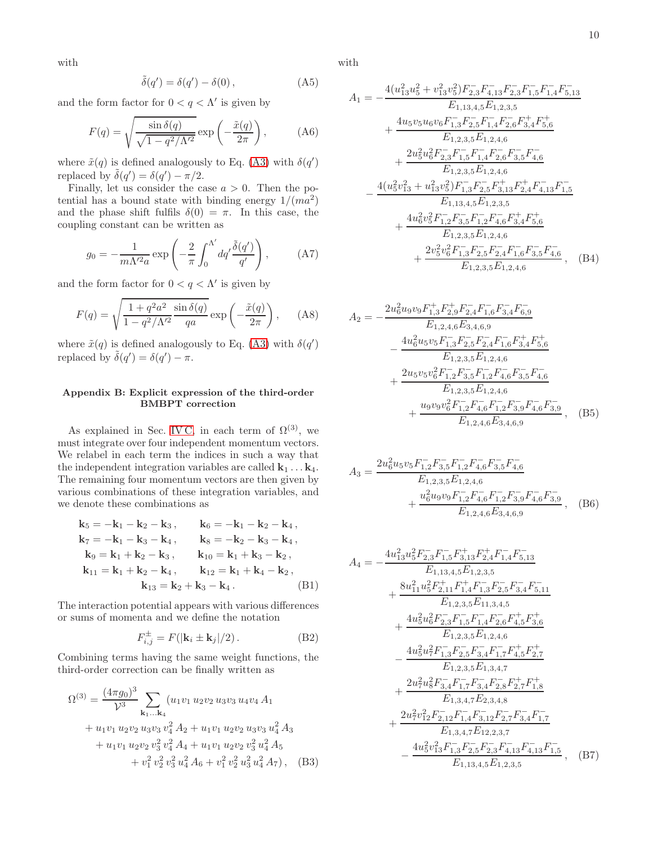with

$$
\tilde{\delta}(q') = \delta(q') - \delta(0), \qquad (A5)
$$

and the form factor for  $0 < q < \Lambda'$  is given by

$$
F(q) = \sqrt{\frac{\sin \delta(q)}{\sqrt{1 - q^2/\Lambda'^2}} \exp\left(-\frac{\tilde{x}(q)}{2\pi}\right)},
$$
 (A6)

where  $\tilde{x}(q)$  is defined analogously to Eq. [\(A3\)](#page-8-0) with  $\delta(q')$ replaced by  $\tilde{\delta}(q') = \delta(q') - \pi/2$ .

Finally, let us consider the case  $a > 0$ . Then the potential has a bound state with binding energy  $1/(ma^2)$ and the phase shift fulfils  $\delta(0) = \pi$ . In this case, the coupling constant can be written as

$$
g_0 = -\frac{1}{m\Lambda'^2 a} \exp\left(-\frac{2}{\pi} \int_0^{\Lambda'} dq' \frac{\tilde{\delta}(q')}{q'}\right), \quad (A7)
$$

and the form factor for  $0 < q < \Lambda'$  is given by

$$
F(q) = \sqrt{\frac{1 + q^2 a^2}{1 - q^2 / \Lambda'^2} \frac{\sin \delta(q)}{qa}} \exp\left(-\frac{\tilde{x}(q)}{2\pi}\right), \quad (A8)
$$

where  $\tilde{x}(q)$  is defined analogously to Eq. [\(A3\)](#page-8-0) with  $\delta(q')$ replaced by  $\tilde{\delta}(q') = \delta(q') - \pi$ .

## <span id="page-9-0"></span>Appendix B: Explicit expression of the third-order BMBPT correction

As explained in Sec. [IV C,](#page-6-3) in each term of  $\Omega^{(3)}$ , we must integrate over four independent momentum vectors. We relabel in each term the indices in such a way that the independent integration variables are called  $k_1 \ldots k_4$ . The remaining four momentum vectors are then given by various combinations of these integration variables, and we denote these combinations as

$$
k_{5} = -k_{1} - k_{2} - k_{3}, \t k_{6} = -k_{1} - k_{2} - k_{4},
$$
  
\n
$$
k_{7} = -k_{1} - k_{3} - k_{4}, \t k_{8} = -k_{2} - k_{3} - k_{4},
$$
  
\n
$$
k_{9} = k_{1} + k_{2} - k_{3}, \t k_{10} = k_{1} + k_{3} - k_{2},
$$
  
\n
$$
k_{11} = k_{1} + k_{2} - k_{4}, \t k_{12} = k_{1} + k_{4} - k_{2},
$$
  
\n
$$
k_{13} = k_{2} + k_{3} - k_{4}.
$$
 (B1)

The interaction potential appears with various differences or sums of momenta and we define the notation

$$
F_{i,j}^{\pm} = F(|\mathbf{k}_i \pm \mathbf{k}_j|/2). \tag{B2}
$$

Combining terms having the same weight functions, the third-order correction can be finally written as

$$
\Omega^{(3)} = \frac{(4\pi g_0)^3}{\mathcal{V}^3} \sum_{\mathbf{k}_1...\mathbf{k}_4} (u_1v_1 u_2v_2 u_3v_3 u_4v_4 A_1 \n+ u_1v_1 u_2v_2 u_3v_3 v_4^2 A_2 + u_1v_1 u_2v_2 u_3v_3 u_4^2 A_3 \n+ u_1v_1 u_2v_2 v_3^2 v_4^2 A_4 + u_1v_1 u_2v_2 v_3^2 u_4^2 A_5 \n+ v_1^2 v_2^2 v_3^2 u_4^2 A_6 + v_1^2 v_2^2 u_3^2 u_4^2 A_7), \quad (B3)
$$

with

$$
A_{1} = -\frac{4(u_{13}^{2}u_{5}^{2} + v_{13}^{2}v_{5}^{2})F_{2,3}^{-}F_{4,13}^{-}F_{2,3}^{-}F_{1,5}^{-}F_{1,4}^{-}F_{5,13}^{-}}{E_{1,13,4,5}E_{1,2,3,5}} + \frac{4u_{5}v_{5}u_{6}v_{6}F_{1,3}^{-}F_{2,5}^{-}F_{1,4}^{-}F_{2,6}^{-}F_{3,4}^{+}F_{5,6}^{+}}{E_{1,2,3,5}E_{1,2,4,6}} + \frac{2u_{5}^{2}u_{6}^{2}F_{2,3}^{-}F_{1,5}^{-}F_{1,4}^{-}F_{2,6}^{-}F_{3,5}^{-}F_{4,6}^{-}}{E_{1,2,3,5}E_{1,2,4,6}} - \frac{4(u_{5}^{2}v_{13}^{2} + u_{13}^{2}v_{5}^{2})F_{1,3}^{-}F_{2,5}^{-}F_{3,13}^{+}F_{2,4}^{+}F_{4,13}^{-}F_{1,5}^{-}}{E_{1,13,4,5}E_{1,2,3,5}} + \frac{4u_{6}^{2}v_{5}^{2}F_{1,2}^{-}F_{3,5}^{-}F_{1,2}^{-}F_{4,6}^{-}F_{3,4}^{+}F_{5,6}^{+}}{E_{1,2,3,5}E_{1,2,4,6}} + \frac{2v_{5}^{2}v_{6}^{2}F_{1,3}^{-}F_{2,5}^{-}F_{2,4}^{-}F_{1,6}^{-}F_{3,5}^{-}F_{4,6}^{-}}{E_{1,2,3,5}E_{1,2,4,6}} \quad (B4)
$$

$$
A_{2} = -\frac{2u_{6}^{2}u_{9}v_{9}F_{1,3}^{+}F_{2,9}^{+}F_{2,4}^{-}F_{1,6}^{-}F_{3,4}^{-}F_{6,9}^{-}}{E_{1,2,4,6}E_{3,4,6,9}} \\
-\frac{4u_{6}^{2}u_{5}v_{5}F_{1,3}^{-}F_{2,5}^{-}F_{2,4}^{-}F_{1,6}^{-}F_{3,4}^{+}F_{5,6}^{+}}{E_{1,2,3,5}E_{1,2,4,6}} \\
+\frac{2u_{5}v_{5}v_{6}^{2}F_{1,2}^{-}F_{3,5}^{-}F_{1,2}^{-}F_{4,6}^{-}F_{3,5}^{-}F_{4,6}^{-}}{E_{1,2,3,5}E_{1,2,4,6}} \\
+\frac{u_{9}v_{9}v_{6}^{2}F_{1,2}^{-}F_{4,6}^{-}F_{1,2}^{-}F_{3,9}^{-}F_{4,6}^{-}F_{3,9}^{-}}{E_{1,2,4,6}E_{3,4,6,9}}\,, \quad (B5)
$$

$$
A_3 = \frac{2u_6^2u_5v_5F_{1,2}^-F_{3,5}^-F_{1,2}^-F_{4,6}^-F_{3,5}^-F_{4,6}^-}{E_{1,2,3,5}E_{1,2,4,6}} + \frac{u_6^2u_9v_9F_{1,2}^-F_{4,6}^-F_{1,2}^-F_{3,9}^-F_{4,6}^-F_{3,9}^-}{E_{1,2,4,6}E_{3,4,6,9}} , \quad (B6)
$$

$$
A_{4} = -\frac{4u_{13}^{2}u_{5}^{2}F_{2,3}^{-}F_{1,5}^{-}F_{3,13}^{+}F_{2,4}^{+}F_{1,4}^{-}F_{5,13}^{-}}{E_{1,13,4,5}E_{1,2,3,5}} + \frac{8u_{11}^{2}u_{5}^{2}F_{2,11}^{+}F_{1,4}^{+}F_{1,3}^{-}F_{2,5}^{-}F_{3,4}^{-}F_{5,11}^{-}}{E_{1,2,3,5}E_{11,3,4,5}} + \frac{4u_{5}^{2}u_{6}^{2}F_{2,3}^{-}F_{1,5}^{-}F_{1,4}^{-}F_{2,6}^{-}F_{4,5}^{+}F_{3,6}^{+}}{E_{1,2,3,5}E_{1,2,4,6}} - \frac{4u_{5}^{2}u_{7}^{2}F_{1,3}^{-}F_{2,5}^{-}F_{3,4}^{-}F_{1,7}^{-}F_{4,5}^{+}F_{2,7}^{+}}{E_{1,2,3,5}E_{1,3,4,7}} + \frac{2u_{7}^{2}u_{8}^{2}F_{3,4}^{-}F_{1,7}^{-}F_{3,4}^{-}F_{2,8}^{-}F_{2,7}^{+}F_{1,8}^{+}}{E_{1,3,4,7}E_{2,3,4,8}} + \frac{2u_{7}^{2}v_{12}^{2}F_{2,12}^{-}F_{1,4}^{-}F_{3,12}^{-}F_{2,7}^{-}F_{3,4}^{-}F_{1,7}^{-}}{E_{1,3,4,7}E_{12,2,3,7}} - \frac{4u_{5}^{2}v_{13}^{2}F_{1,3}^{-}F_{2,5}^{-}F_{2,3}^{-}F_{4,13}^{-}F_{4,13}^{-}F_{1,5}^{-}}{E_{1,13,4,5}E_{1,2,3,5}} \quad (B7)
$$